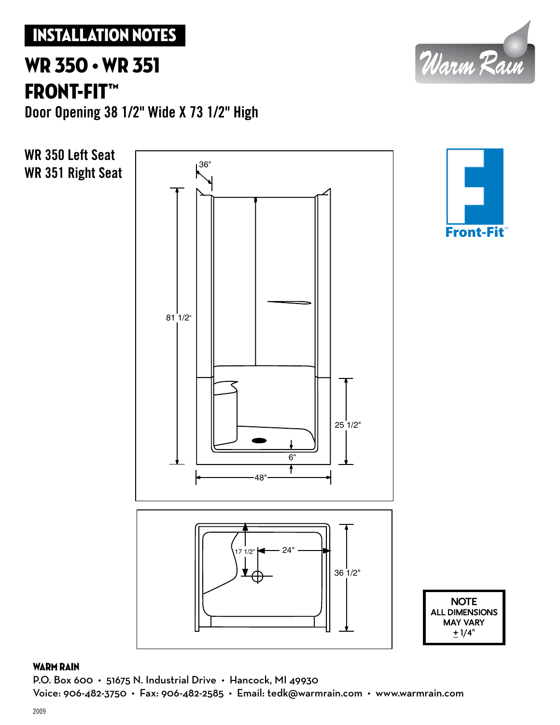### Installation Notes

## WR 350 • WR 351 Front-Fit™

**Door Opening 38 1/2" Wide X 73 1/2" High**



### WARM RAIN

P.O. Box 600  $\cdot$  51675 N. Industrial Drive  $\cdot$  Hancock, MI 49930 Voice: 906-482-3750 • Fax: 906-482-2585 • Email: tedk@warmrain.com • www.warmrain.com